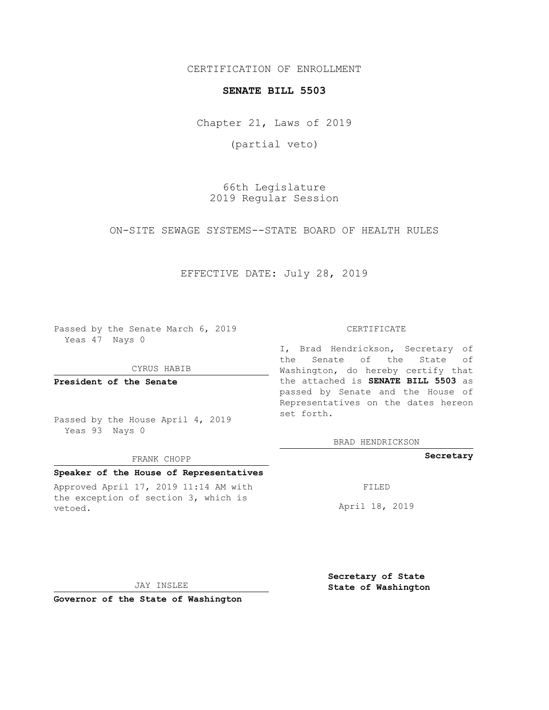CERTIFICATION OF ENROLLMENT

### **SENATE BILL 5503**

Chapter 21, Laws of 2019

(partial veto)

66th Legislature 2019 Regular Session

ON-SITE SEWAGE SYSTEMS--STATE BOARD OF HEALTH RULES

## EFFECTIVE DATE: July 28, 2019

Passed by the Senate March 6, 2019 Yeas 47 Nays 0

CYRUS HABIB

**President of the Senate**

Passed by the House April 4, 2019 Yeas 93 Nays 0

#### FRANK CHOPP

### **Speaker of the House of Representatives**

Approved April 17, 2019 11:14 AM with the exception of section 3, which is vetoed.

#### CERTIFICATE

I, Brad Hendrickson, Secretary of the Senate of the State of Washington, do hereby certify that the attached is **SENATE BILL 5503** as passed by Senate and the House of Representatives on the dates hereon set forth.

BRAD HENDRICKSON

### **Secretary**

FILED

April 18, 2019

JAY INSLEE

**Governor of the State of Washington**

**Secretary of State State of Washington**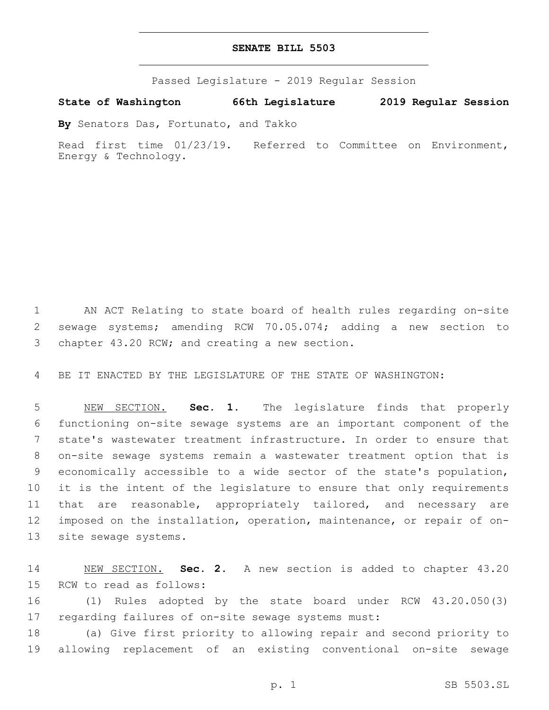## **SENATE BILL 5503**

Passed Legislature - 2019 Regular Session

# **State of Washington 66th Legislature 2019 Regular Session**

**By** Senators Das, Fortunato, and Takko

Read first time 01/23/19. Referred to Committee on Environment, Energy & Technology.

 AN ACT Relating to state board of health rules regarding on-site sewage systems; amending RCW 70.05.074; adding a new section to 3 chapter 43.20 RCW; and creating a new section.

BE IT ENACTED BY THE LEGISLATURE OF THE STATE OF WASHINGTON:

 NEW SECTION. **Sec. 1.** The legislature finds that properly functioning on-site sewage systems are an important component of the state's wastewater treatment infrastructure. In order to ensure that on-site sewage systems remain a wastewater treatment option that is economically accessible to a wide sector of the state's population, it is the intent of the legislature to ensure that only requirements that are reasonable, appropriately tailored, and necessary are imposed on the installation, operation, maintenance, or repair of on-site sewage systems.

 NEW SECTION. **Sec. 2.** A new section is added to chapter 43.20 15 RCW to read as follows:

 (1) Rules adopted by the state board under RCW 43.20.050(3) regarding failures of on-site sewage systems must:

 (a) Give first priority to allowing repair and second priority to allowing replacement of an existing conventional on-site sewage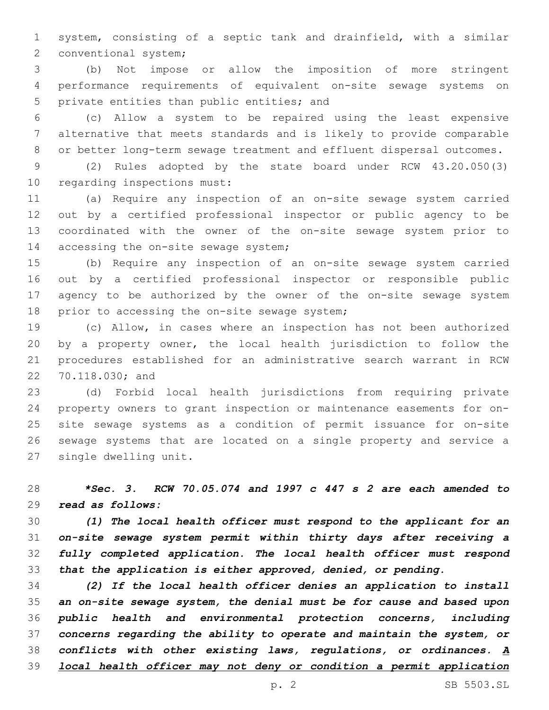system, consisting of a septic tank and drainfield, with a similar 2 conventional system;

 (b) Not impose or allow the imposition of more stringent performance requirements of equivalent on-site sewage systems on 5 private entities than public entities; and

 (c) Allow a system to be repaired using the least expensive alternative that meets standards and is likely to provide comparable or better long-term sewage treatment and effluent dispersal outcomes.

 (2) Rules adopted by the state board under RCW 43.20.050(3) 10 regarding inspections must:

 (a) Require any inspection of an on-site sewage system carried out by a certified professional inspector or public agency to be coordinated with the owner of the on-site sewage system prior to 14 accessing the on-site sewage system;

 (b) Require any inspection of an on-site sewage system carried out by a certified professional inspector or responsible public agency to be authorized by the owner of the on-site sewage system 18 prior to accessing the on-site sewage system;

 (c) Allow, in cases where an inspection has not been authorized by a property owner, the local health jurisdiction to follow the procedures established for an administrative search warrant in RCW 22 70.118.030; and

 (d) Forbid local health jurisdictions from requiring private property owners to grant inspection or maintenance easements for on- site sewage systems as a condition of permit issuance for on-site sewage systems that are located on a single property and service a 27 single dwelling unit.

 *\*Sec. 3. RCW 70.05.074 and 1997 c 447 s 2 are each amended to read as follows:*

 *(1) The local health officer must respond to the applicant for an on-site sewage system permit within thirty days after receiving a fully completed application. The local health officer must respond that the application is either approved, denied, or pending.*

 *(2) If the local health officer denies an application to install an on-site sewage system, the denial must be for cause and based upon public health and environmental protection concerns, including concerns regarding the ability to operate and maintain the system, or conflicts with other existing laws, regulations, or ordinances. A local health officer may not deny or condition a permit application*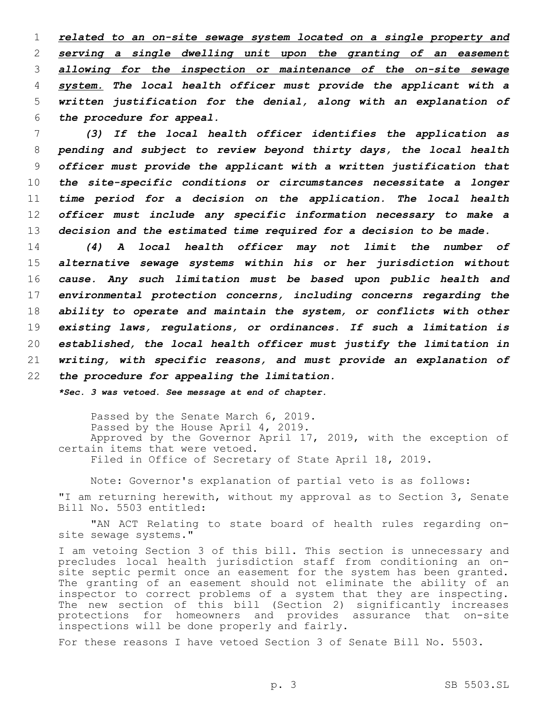*related to an on-site sewage system located on a single property and serving a single dwelling unit upon the granting of an easement allowing for the inspection or maintenance of the on-site sewage system. The local health officer must provide the applicant with a written justification for the denial, along with an explanation of the procedure for appeal.*

 *(3) If the local health officer identifies the application as pending and subject to review beyond thirty days, the local health officer must provide the applicant with a written justification that the site-specific conditions or circumstances necessitate a longer time period for a decision on the application. The local health officer must include any specific information necessary to make a decision and the estimated time required for a decision to be made.*

 *(4) A local health officer may not limit the number of alternative sewage systems within his or her jurisdiction without cause. Any such limitation must be based upon public health and environmental protection concerns, including concerns regarding the ability to operate and maintain the system, or conflicts with other existing laws, regulations, or ordinances. If such a limitation is established, the local health officer must justify the limitation in writing, with specific reasons, and must provide an explanation of the procedure for appealing the limitation.*

*\*Sec. 3 was vetoed. See message at end of chapter.*

Passed by the Senate March 6, 2019. Passed by the House April 4, 2019. Approved by the Governor April 17, 2019, with the exception of certain items that were vetoed. Filed in Office of Secretary of State April 18, 2019.

Note: Governor's explanation of partial veto is as follows:

"I am returning herewith, without my approval as to Section 3, Senate Bill No. 5503 entitled:

"AN ACT Relating to state board of health rules regarding onsite sewage systems."

I am vetoing Section 3 of this bill. This section is unnecessary and precludes local health jurisdiction staff from conditioning an onsite septic permit once an easement for the system has been granted. The granting of an easement should not eliminate the ability of an inspector to correct problems of a system that they are inspecting. The new section of this bill (Section 2) significantly increases protections for homeowners and provides assurance that on-site inspections will be done properly and fairly.

For these reasons I have vetoed Section 3 of Senate Bill No. 5503.